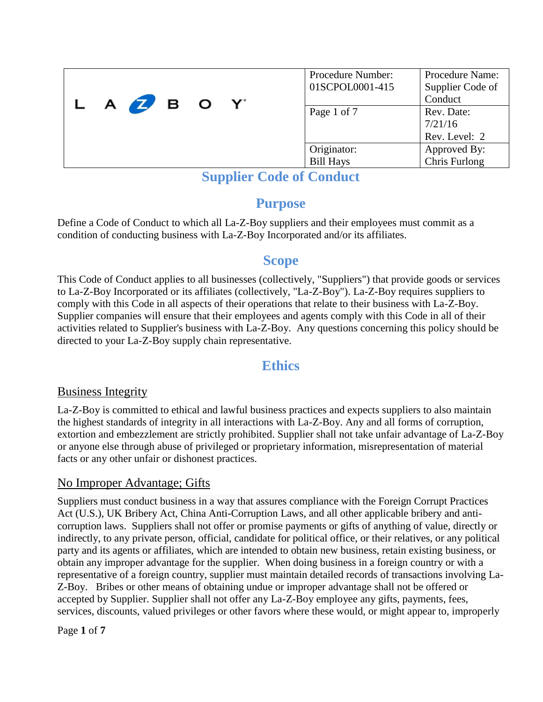| L A <b>Z</b> B O Y | Procedure Number:<br>01SCPOL0001-415 | Procedure Name:<br>Supplier Code of<br>Conduct |
|--------------------|--------------------------------------|------------------------------------------------|
|                    | Page 1 of 7                          | Rev. Date:<br>7/21/16                          |
|                    |                                      | Rev. Level: 2                                  |
|                    | Originator:                          | Approved By:                                   |
|                    | <b>Bill Hays</b>                     | Chris Furlong                                  |

# **Purpose**

Define a Code of Conduct to which all La-Z-Boy suppliers and their employees must commit as a condition of conducting business with La-Z-Boy Incorporated and/or its affiliates.

# **Scope**

This Code of Conduct applies to all businesses (collectively, "Suppliers") that provide goods or services to La-Z-Boy Incorporated or its affiliates (collectively, "La-Z-Boy"). La-Z-Boy requires suppliers to comply with this Code in all aspects of their operations that relate to their business with La-Z-Boy. Supplier companies will ensure that their employees and agents comply with this Code in all of their activities related to Supplier's business with La-Z-Boy. Any questions concerning this policy should be directed to your La-Z-Boy supply chain representative.

# **Ethics**

# Business Integrity

La-Z-Boy is committed to ethical and lawful business practices and expects suppliers to also maintain the highest standards of integrity in all interactions with La-Z-Boy. Any and all forms of corruption, extortion and embezzlement are strictly prohibited. Supplier shall not take unfair advantage of La-Z-Boy or anyone else through abuse of privileged or proprietary information, misrepresentation of material facts or any other unfair or dishonest practices.

# No Improper Advantage; Gifts

Suppliers must conduct business in a way that assures compliance with the Foreign Corrupt Practices Act (U.S.), UK Bribery Act, China Anti-Corruption Laws, and all other applicable bribery and anticorruption laws. Suppliers shall not offer or promise payments or gifts of anything of value, directly or indirectly, to any private person, official, candidate for political office, or their relatives, or any political party and its agents or affiliates, which are intended to obtain new business, retain existing business, or obtain any improper advantage for the supplier. When doing business in a foreign country or with a representative of a foreign country, supplier must maintain detailed records of transactions involving La-Z-Boy. Bribes or other means of obtaining undue or improper advantage shall not be offered or accepted by Supplier. Supplier shall not offer any La-Z-Boy employee any gifts, payments, fees, services, discounts, valued privileges or other favors where these would, or might appear to, improperly

Page **1** of **7**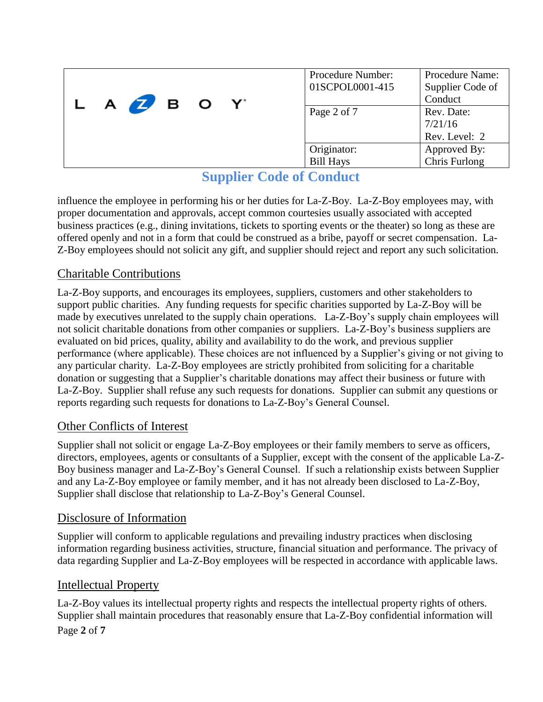| L A <b>Z</b> B O Y | Procedure Number:<br>01SCPOL0001-415 | Procedure Name:<br>Supplier Code of<br>Conduct |
|--------------------|--------------------------------------|------------------------------------------------|
|                    | Page 2 of 7                          | Rev. Date:<br>7/21/16                          |
|                    |                                      | Rev. Level: 2                                  |
|                    | Originator:                          | Approved By:                                   |
|                    | <b>Bill Hays</b>                     | Chris Furlong                                  |

influence the employee in performing his or her duties for La-Z-Boy. La-Z-Boy employees may, with proper documentation and approvals, accept common courtesies usually associated with accepted business practices (e.g., dining invitations, tickets to sporting events or the theater) so long as these are offered openly and not in a form that could be construed as a bribe, payoff or secret compensation. La-Z-Boy employees should not solicit any gift, and supplier should reject and report any such solicitation.

# Charitable Contributions

La-Z-Boy supports, and encourages its employees, suppliers, customers and other stakeholders to support public charities. Any funding requests for specific charities supported by La-Z-Boy will be made by executives unrelated to the supply chain operations. La-Z-Boy's supply chain employees will not solicit charitable donations from other companies or suppliers. La-Z-Boy's business suppliers are evaluated on bid prices, quality, ability and availability to do the work, and previous supplier performance (where applicable). These choices are not influenced by a Supplier's giving or not giving to any particular charity. La-Z-Boy employees are strictly prohibited from soliciting for a charitable donation or suggesting that a Supplier's charitable donations may affect their business or future with La-Z-Boy. Supplier shall refuse any such requests for donations. Supplier can submit any questions or reports regarding such requests for donations to La-Z-Boy's General Counsel.

# Other Conflicts of Interest

Supplier shall not solicit or engage La-Z-Boy employees or their family members to serve as officers, directors, employees, agents or consultants of a Supplier, except with the consent of the applicable La-Z-Boy business manager and La-Z-Boy's General Counsel. If such a relationship exists between Supplier and any La-Z-Boy employee or family member, and it has not already been disclosed to La-Z-Boy, Supplier shall disclose that relationship to La-Z-Boy's General Counsel.

## Disclosure of Information

Supplier will conform to applicable regulations and prevailing industry practices when disclosing information regarding business activities, structure, financial situation and performance. The privacy of data regarding Supplier and La-Z-Boy employees will be respected in accordance with applicable laws.

## Intellectual Property

La-Z-Boy values its intellectual property rights and respects the intellectual property rights of others. Supplier shall maintain procedures that reasonably ensure that La-Z-Boy confidential information will

Page **2** of **7**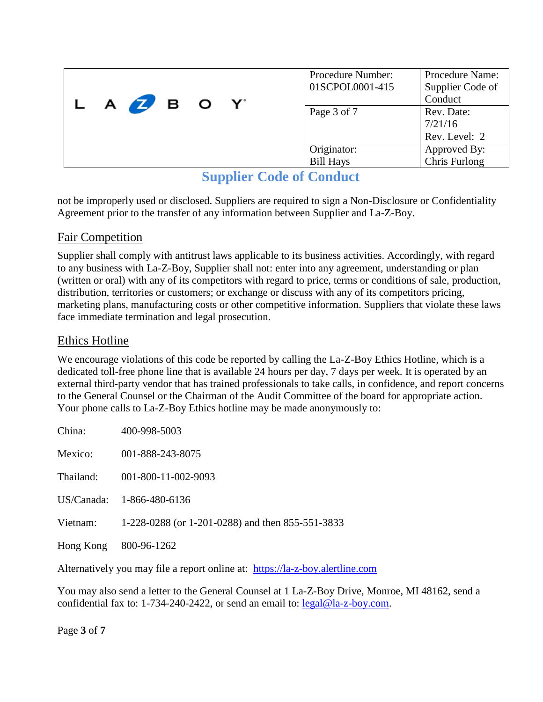| LAZBOY |             | Procedure Number:<br>01SCPOL0001-415 | Procedure Name:<br>Supplier Code of<br>Conduct |               |
|--------|-------------|--------------------------------------|------------------------------------------------|---------------|
|        | Page 3 of 7 | Rev. Date:<br>7/21/16                |                                                |               |
|        |             |                                      |                                                | Rev. Level: 2 |
|        |             |                                      | Originator:                                    | Approved By:  |
|        |             |                                      | <b>Bill Hays</b>                               | Chris Furlong |

not be improperly used or disclosed. Suppliers are required to sign a Non-Disclosure or Confidentiality Agreement prior to the transfer of any information between Supplier and La-Z-Boy.

# Fair Competition

Supplier shall comply with antitrust laws applicable to its business activities. Accordingly, with regard to any business with La-Z-Boy, Supplier shall not: enter into any agreement, understanding or plan (written or oral) with any of its competitors with regard to price, terms or conditions of sale, production, distribution, territories or customers; or exchange or discuss with any of its competitors pricing, marketing plans, manufacturing costs or other competitive information. Suppliers that violate these laws face immediate termination and legal prosecution.

## Ethics Hotline

We encourage violations of this code be reported by calling the La-Z-Boy Ethics Hotline, which is a dedicated toll-free phone line that is available 24 hours per day, 7 days per week. It is operated by an external third-party vendor that has trained professionals to take calls, in confidence, and report concerns to the General Counsel or the Chairman of the Audit Committee of the board for appropriate action. Your phone calls to La-Z-Boy Ethics hotline may be made anonymously to:

| China:    | 400-998-5003                                     |
|-----------|--------------------------------------------------|
| Mexico:   | 001-888-243-8075                                 |
| Thailand: | 001-800-11-002-9093                              |
|           | US/Canada: 1-866-480-6136                        |
| Vietnam:  | 1-228-0288 (or 1-201-0288) and then 855-551-3833 |
| Hong Kong | 800-96-1262                                      |

Alternatively you may file a report online at: [https://la-z-boy.alertline.com](https://la-z-boy.alertline.com/)

You may also send a letter to the General Counsel at 1 La-Z-Boy Drive, Monroe, MI 48162, send a confidential fax to: 1-734-240-2422, or send an email to: [legal@la-z-boy.com.](mailto:legal@la-z-boy.com)

Page **3** of **7**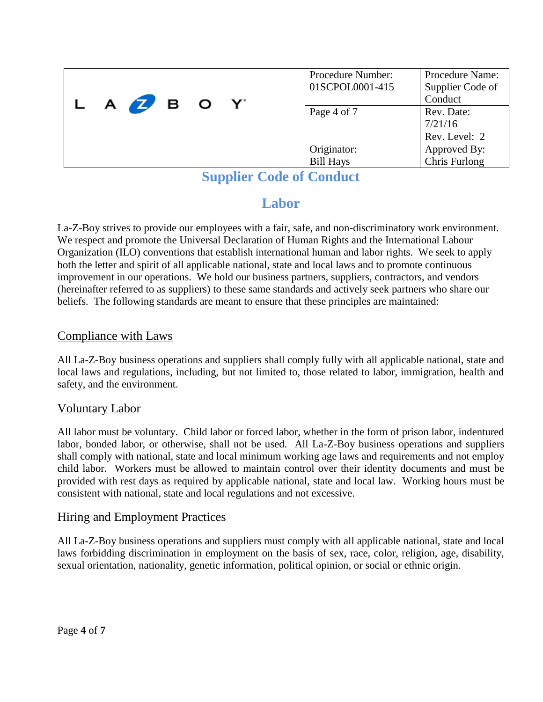| L A <b>Z</b> B O Y | Procedure Number:<br>01SCPOL0001-415 | Procedure Name:<br>Supplier Code of<br>Conduct |
|--------------------|--------------------------------------|------------------------------------------------|
|                    | Page 4 of 7                          | Rev. Date:<br>7/21/16                          |
|                    |                                      | Rev. Level: 2                                  |
|                    | Originator:<br><b>Bill Hays</b>      | Approved By:<br>Chris Furlong                  |

# **Labor**

La-Z-Boy strives to provide our employees with a fair, safe, and non-discriminatory work environment. We respect and promote the Universal Declaration of Human Rights and the International Labour Organization (ILO) conventions that establish international human and labor rights. We seek to apply both the letter and spirit of all applicable national, state and local laws and to promote continuous improvement in our operations. We hold our business partners, suppliers, contractors, and vendors (hereinafter referred to as suppliers) to these same standards and actively seek partners who share our beliefs. The following standards are meant to ensure that these principles are maintained:

# Compliance with Laws

All La-Z-Boy business operations and suppliers shall comply fully with all applicable national, state and local laws and regulations, including, but not limited to, those related to labor, immigration, health and safety, and the environment.

## Voluntary Labor

All labor must be voluntary. Child labor or forced labor, whether in the form of prison labor, indentured labor, bonded labor, or otherwise, shall not be used. All La-Z-Boy business operations and suppliers shall comply with national, state and local minimum working age laws and requirements and not employ child labor. Workers must be allowed to maintain control over their identity documents and must be provided with rest days as required by applicable national, state and local law. Working hours must be consistent with national, state and local regulations and not excessive.

## Hiring and Employment Practices

All La-Z-Boy business operations and suppliers must comply with all applicable national, state and local laws forbidding discrimination in employment on the basis of sex, race, color, religion, age, disability, sexual orientation, nationality, genetic information, political opinion, or social or ethnic origin.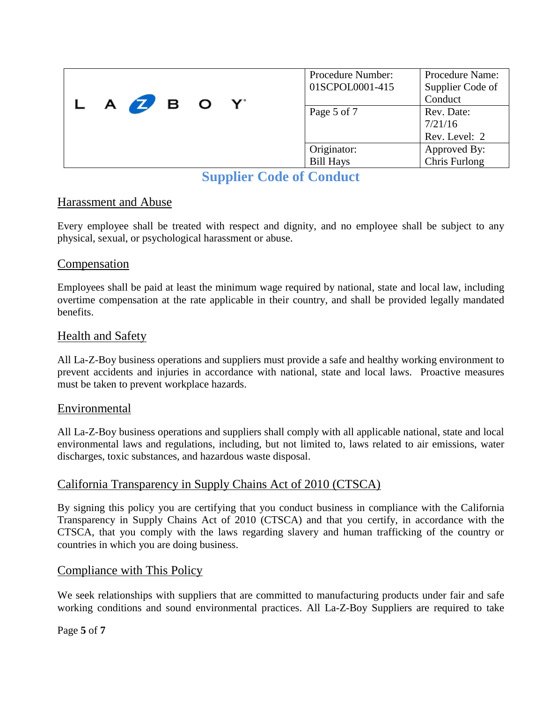| L A <b>Z</b> B O Y | Procedure Number:<br>01SCPOL0001-415 | Procedure Name:<br>Supplier Code of<br>Conduct |
|--------------------|--------------------------------------|------------------------------------------------|
|                    | Page 5 of 7                          | Rev. Date:<br>7/21/16                          |
|                    |                                      | Rev. Level: 2                                  |
|                    | Originator:                          | Approved By:                                   |
|                    | <b>Bill Hays</b>                     | Chris Furlong                                  |

## Harassment and Abuse

Every employee shall be treated with respect and dignity, and no employee shall be subject to any physical, sexual, or psychological harassment or abuse.

#### Compensation

Employees shall be paid at least the minimum wage required by national, state and local law, including overtime compensation at the rate applicable in their country, and shall be provided legally mandated benefits.

#### Health and Safety

All La-Z-Boy business operations and suppliers must provide a safe and healthy working environment to prevent accidents and injuries in accordance with national, state and local laws. Proactive measures must be taken to prevent workplace hazards.

#### Environmental

All La-Z-Boy business operations and suppliers shall comply with all applicable national, state and local environmental laws and regulations, including, but not limited to, laws related to air emissions, water discharges, toxic substances, and hazardous waste disposal.

## California Transparency in Supply Chains Act of 2010 (CTSCA)

By signing this policy you are certifying that you conduct business in compliance with the California Transparency in Supply Chains Act of 2010 (CTSCA) and that you certify, in accordance with the CTSCA, that you comply with the laws regarding slavery and human trafficking of the country or countries in which you are doing business.

## Compliance with This Policy

We seek relationships with suppliers that are committed to manufacturing products under fair and safe working conditions and sound environmental practices. All La-Z-Boy Suppliers are required to take

#### Page **5** of **7**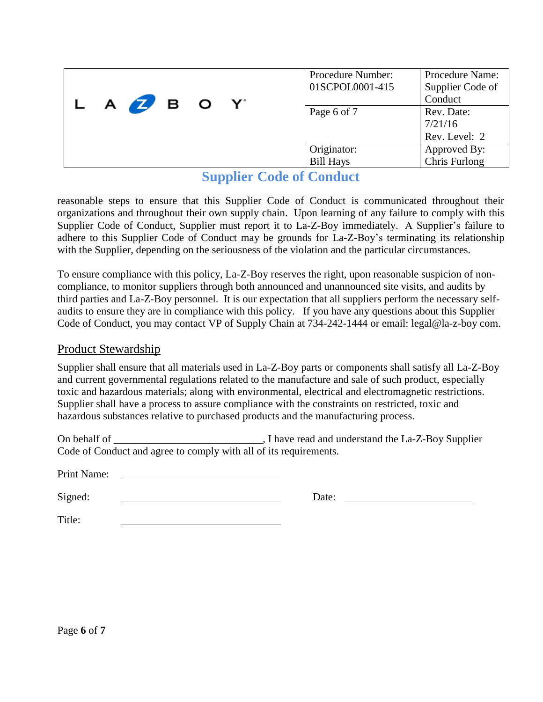| L A <b>Z</b> B O Y |             | Procedure Number:<br>01SCPOL0001-415 | Procedure Name:<br>Supplier Code of<br>Conduct |
|--------------------|-------------|--------------------------------------|------------------------------------------------|
|                    | Page 6 of 7 | Rev. Date:<br>7/21/16                |                                                |
|                    |             |                                      | Rev. Level: 2                                  |
|                    |             | Originator:                          | Approved By:                                   |
|                    |             | <b>Bill Hays</b>                     | Chris Furlong                                  |

reasonable steps to ensure that this Supplier Code of Conduct is communicated throughout their organizations and throughout their own supply chain. Upon learning of any failure to comply with this Supplier Code of Conduct, Supplier must report it to La-Z-Boy immediately. A Supplier's failure to adhere to this Supplier Code of Conduct may be grounds for La-Z-Boy's terminating its relationship with the Supplier, depending on the seriousness of the violation and the particular circumstances.

To ensure compliance with this policy, La-Z-Boy reserves the right, upon reasonable suspicion of noncompliance, to monitor suppliers through both announced and unannounced site visits, and audits by third parties and La-Z-Boy personnel. It is our expectation that all suppliers perform the necessary selfaudits to ensure they are in compliance with this policy. If you have any questions about this Supplier Code of Conduct, you may contact VP of Supply Chain at 734-242-1444 or email: legal@la-z-boy com.

#### Product Stewardship

Supplier shall ensure that all materials used in La-Z-Boy parts or components shall satisfy all La-Z-Boy and current governmental regulations related to the manufacture and sale of such product, especially toxic and hazardous materials; along with environmental, electrical and electromagnetic restrictions. Supplier shall have a process to assure compliance with the constraints on restricted, toxic and hazardous substances relative to purchased products and the manufacturing process.

| On behalf of                                                      | ., I have read and understand the La-Z-Boy Supplier |
|-------------------------------------------------------------------|-----------------------------------------------------|
| Code of Conduct and agree to comply with all of its requirements. |                                                     |

| Print Name: |  |
|-------------|--|
|             |  |

Signed: Date: Date:

Title: